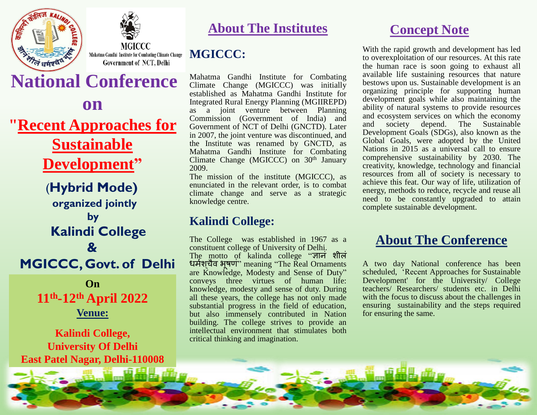



**MGICCC** Mahatma Gandhi Institute for Combating Climate Change MGICCC: **Government of NCT, Delhi** 

# **National Conference**

**on "Recent Approaches for Sustainable Development"**

 (**Hybrid Mode) organized jointly by Kalindi College & MGICCC, Govt. of Delhi**

> **On 11th -12th April 2022 Venue:**

**Kalindi College, University Of Delhi East Patel Nagar, Delhi-110008**

#### **About The Institutes**

Mahatma Gandhi Institute for Combating Climate Change (MGICCC) was initially established as Mahatma Gandhi Institute for Integrated Rural Energy Planning (MGIIREPD) as a joint venture between Planning Commission (Government of India) and Government of NCT of Delhi (GNCTD). Later in 2007, the joint venture was discontinued, and the Institute was renamed by GNCTD, as Mahatma Gandhi Institute for Combating Climate Change (MGICCC) on 30<sup>th</sup> January 2009.

The mission of the institute (MGICCC), as enunciated in the relevant order, is to combat climate change and serve as a strategic knowledge centre.

#### **Kalindi College:**

The College was established in 1967 as a constituent college of University of Delhi. The motto of kalinda college "ज्ञानं शीलं धर्शम चैव् भूषणं" meaning "The Real Ornaments are Knowledge, Modesty and Sense of Duty" conveys three virtues of human life: knowledge, modesty and sense of duty. During all these years, the college has not only made substantial progress in the field of education, but also immensely contributed in Nation building. The college strives to provide an intellectual environment that stimulates both critical thinking and imagination.

#### **Concept Note**

With the rapid growth and development has led to overexploitation of our resources. At this rate the human race is soon going to exhaust all available life sustaining resources that nature bestows upon us. Sustainable development is an organizing principle for supporting human development goals while also maintaining the ability of natural systems to provide resources and ecosystem services on which the economy<br>and society depend. The Sustainable and society depend. The Sustainable Development Goals (SDGs), also known as the Global Goals, were adopted by the United Nations in 2015 as a universal call to ensure comprehensive sustainability by 2030. The creativity, knowledge, technology and financial resources from all of society is necessary to achieve this feat. Our way of life, utilization of energy, methods to reduce, recycle and reuse all need to be constantly upgraded to attain complete sustainable development.

#### **About The Conference**

A two day National conference has been scheduled, "Recent Approaches for Sustainable Development' for the University/ College teachers/ Researchers/ students etc. in Delhi with the focus to discuss about the challenges in ensuring sustainability and the steps required for ensuring the same.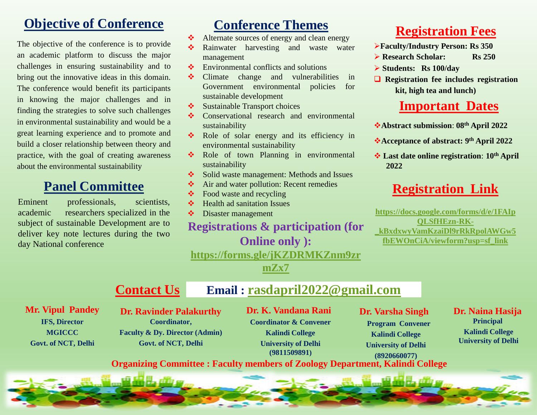# **Objective of Conference**

The objective of the conference is to provide an academic platform to discuss the major challenges in ensuring sustainability and to bring out the innovative ideas in this domain. The conference would benefit its participants in knowing the major challenges and in finding the strategies to solve such challenges in environmental sustainability and would be a great learning experience and to promote and build a closer relationship between theory and practice, with the goal of creating awareness about the environmental sustainability

#### **Panel Committee**

Eminent professionals, scientists, academic researchers specialized in the subject of sustainable Development are to deliver key note lectures during the two day National conference

# **Conference Themes**

- Alternate sources of energy and clean energy
- Rainwater harvesting and waste water management
- $\triangle$  Environmental conflicts and solutions
- Climate change and vulnerabilities in Government environmental policies for sustainable development
- $\triangleleft$  Sustainable Transport choices
- **❖** Conservational research and environmental sustainability
- Role of solar energy and its efficiency in environmental sustainability
- Role of town Planning in environmental sustainability
- Solid waste management: Methods and Issues
- **↑** Air and water pollution: Recent remedies
- $\triangle$  Food waste and recycling
- $\triangleleft$  Health ad sanitation Issues
- Disaster management

#### **Registrations & participation (for Online only ):**

**[https://forms.gle/jKZDRMKZnm9zr](https://forms.gle/jKZDRMKZnm9zrmZx7)**

**[mZx7](https://forms.gle/jKZDRMKZnm9zrmZx7)**

## **Registration Fees**

- **Faculty/Industry Person: Rs 350**
- **Research Scholar:** Rs 250
- **Students: Rs 100/day**
- **Registration fee includes registration kit, high tea and lunch)**

#### **Important Dates**

- **Abstract submission**: **08th April 2022**
- **Acceptance of abstract: 9 th April 2022**
- **Last date online registration**: **10th April 2022**

## **Registration Link**

**[https://docs.google.com/forms/d/e/1FAIp](https://docs.google.com/forms/d/e/1FAIpQLSfHEzn-RK-_kBxdxwyVamKzaiDl9rRkRpolAWGw5fbEWOnCiA/viewform?usp=sf_link) [QLSfHEzn-RK-](https://docs.google.com/forms/d/e/1FAIpQLSfHEzn-RK-_kBxdxwyVamKzaiDl9rRkRpolAWGw5fbEWOnCiA/viewform?usp=sf_link) [\\_kBxdxwyVamKzaiDl9rRkRpolAWGw5](https://docs.google.com/forms/d/e/1FAIpQLSfHEzn-RK-_kBxdxwyVamKzaiDl9rRkRpolAWGw5fbEWOnCiA/viewform?usp=sf_link) [fbEWOnCiA/viewform?usp=sf\\_link](https://docs.google.com/forms/d/e/1FAIpQLSfHEzn-RK-_kBxdxwyVamKzaiDl9rRkRpolAWGw5fbEWOnCiA/viewform?usp=sf_link)**

**Contact Us Email : [rasdapril2022@gmail.com](mailto:rasdapril2022@gmail.com)**

**Mr. Vipul Pandey IFS, Director MGICCC Govt. of NCT, Delhi**

**Dr. Ravinder Palakurthy Coordinator, Faculty & Dy. Director (Admin) Govt. of NCT, Delhi**

**Dr. K. Vandana Rani Coordinator & Convener Kalindi College University of Delhi (9811509891)**

 **Dr. Varsha Singh** 

 **Program Convener Kalindi College University of Delhi (8920660077)** 

**Dr. Naina Hasija Principal Kalindi College University of Delhi**

**Organizing Committee : Faculty members of Zoology Department, Kalindi College**